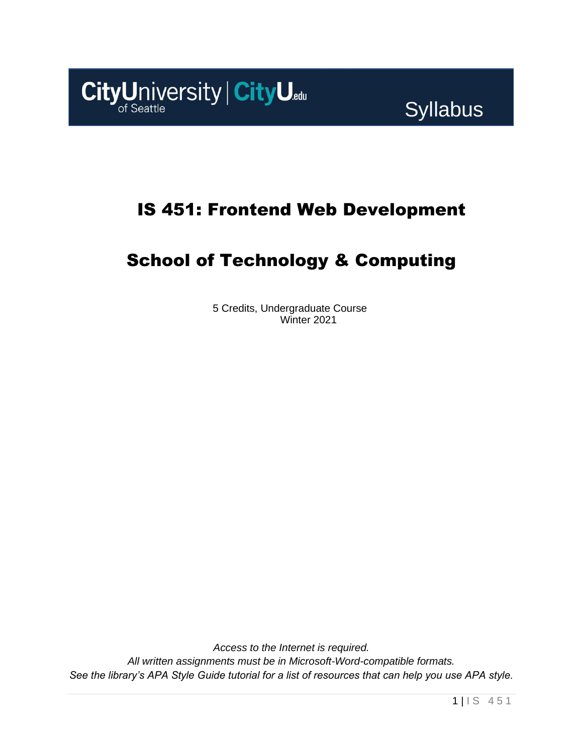

# IS 451: Frontend Web Development

# School of Technology & Computing

5 Credits, Undergraduate Course Winter 2021

*Access to the Internet is required. All written assignments must be in Microsoft-Word-compatible formats. See the library's APA Style Guide tutorial for a list of resources that can help you use APA style.*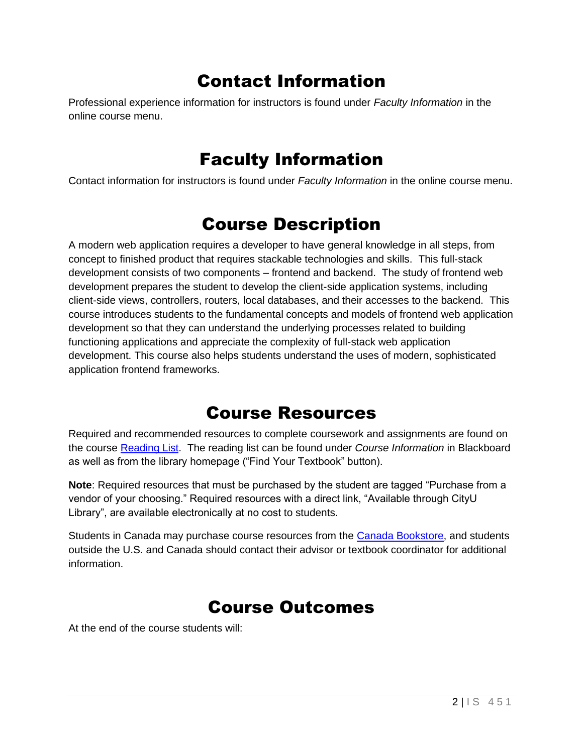# Contact Information

Professional experience information for instructors is found under *Faculty Information* in the online course menu.

## Faculty Information

Contact information for instructors is found under *Faculty Information* in the online course menu.

## Course Description

A modern web application requires a developer to have general knowledge in all steps, from concept to finished product that requires stackable technologies and skills. This full-stack development consists of two components – frontend and backend. The study of frontend web development prepares the student to develop the client-side application systems, including client-side views, controllers, routers, local databases, and their accesses to the backend. This course introduces students to the fundamental concepts and models of frontend web application development so that they can understand the underlying processes related to building functioning applications and appreciate the complexity of full-stack web application development. This course also helps students understand the uses of modern, sophisticated application frontend frameworks.

### Course Resources

Required and recommended resources to complete coursework and assignments are found on the course [Reading List.](https://cityu.alma.exlibrisgroup.com/leganto/login?auth=SAML) The reading list can be found under *Course Information* in Blackboard as well as from the library homepage ("Find Your Textbook" button).

**Note**: Required resources that must be purchased by the student are tagged "Purchase from a vendor of your choosing." Required resources with a direct link, "Available through CityU Library", are available electronically at no cost to students.

Students in Canada may purchase course resources from the [Canada Bookstore,](https://www.cityubookstore.ca/index.asp) and students outside the U.S. and Canada should contact their advisor or textbook coordinator for additional information.

# Course Outcomes

At the end of the course students will: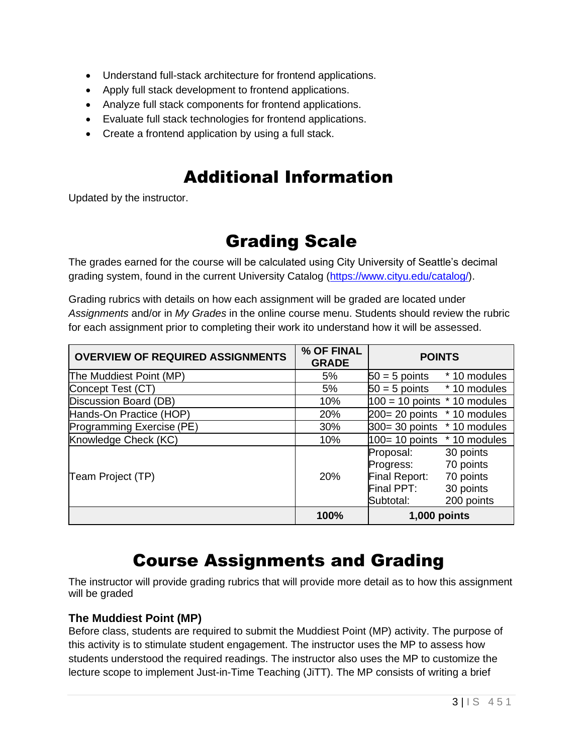- Understand full-stack architecture for frontend applications.
- Apply full stack development to frontend applications.
- Analyze full stack components for frontend applications.
- Evaluate full stack technologies for frontend applications.
- Create a frontend application by using a full stack.

## Additional Information

Updated by the instructor.

# Grading Scale

The grades earned for the course will be calculated using City University of Seattle's decimal grading system, found in the current University Catalog [\(https://www.cityu.edu/catalog/\)](https://www.cityu.edu/catalog/).

Grading rubrics with details on how each assignment will be graded are located under *Assignments* and/or in *My Grades* in the online course menu. Students should review the rubric for each assignment prior to completing their work ito understand how it will be assessed.

| <b>OVERVIEW OF REQUIRED ASSIGNMENTS</b> | % OF FINAL<br><b>GRADE</b> | <b>POINTS</b>                                                                                                                        |
|-----------------------------------------|----------------------------|--------------------------------------------------------------------------------------------------------------------------------------|
| The Muddiest Point (MP)                 | 5%                         | $50 = 5$ points $*10$ modules                                                                                                        |
| Concept Test (CT)                       | 5%                         | $50 = 5$ points $*10$ modules                                                                                                        |
| Discussion Board (DB)                   | 10%                        | $100 = 10$ points $*$ 10 modules                                                                                                     |
| Hands-On Practice (HOP)                 | 20%                        | $200 = 20$ points $*10$ modules                                                                                                      |
| Programming Exercise (PE)               | 30%                        | $300 = 30$ points $*10$ modules                                                                                                      |
| Knowledge Check (KC)                    | 10%                        | $100 = 10$ points $*10$ modules                                                                                                      |
| Team Project (TP)                       | <b>20%</b>                 | 30 points<br>Proposal:<br>70 points<br>Progress:<br>70 points<br>Final Report:<br>Final PPT:<br>30 points<br>200 points<br>Subtotal: |
|                                         | 100%                       | 1,000 points                                                                                                                         |

## Course Assignments and Grading

The instructor will provide grading rubrics that will provide more detail as to how this assignment will be graded

#### **The Muddiest Point (MP)**

Before class, students are required to submit the Muddiest Point (MP) activity. The purpose of this activity is to stimulate student engagement. The instructor uses the MP to assess how students understood the required readings. The instructor also uses the MP to customize the lecture scope to implement Just-in-Time Teaching (JiTT). The MP consists of writing a brief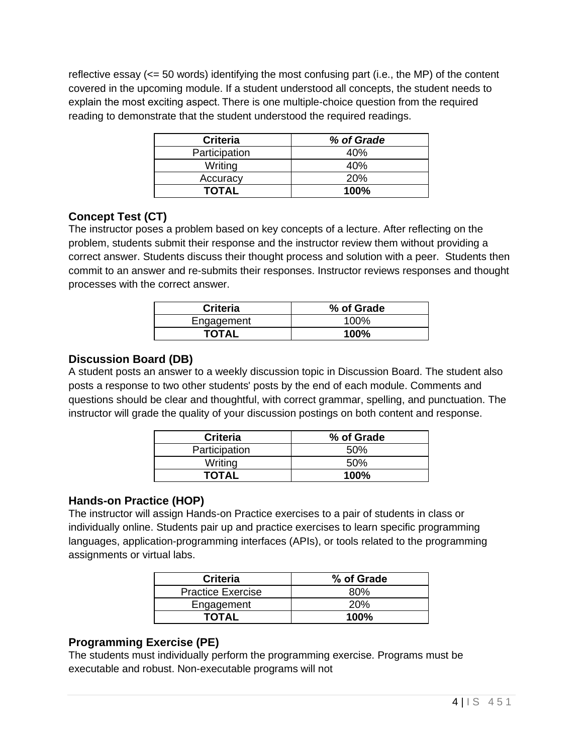reflective essay (<= 50 words) identifying the most confusing part (i.e., the MP) of the content covered in the upcoming module. If a student understood all concepts, the student needs to explain the most exciting aspect. There is one multiple-choice question from the required reading to demonstrate that the student understood the required readings.

| <b>Criteria</b> | % of Grade |
|-----------------|------------|
| Participation   | 40%        |
| Writing         | 40%        |
| Accuracy        | 20%        |
| <b>TOTAL</b>    | 100%       |

#### **Concept Test (CT)**

The instructor poses a problem based on key concepts of a lecture. After reflecting on the problem, students submit their response and the instructor review them without providing a correct answer. Students discuss their thought process and solution with a peer. Students then commit to an answer and re-submits their responses. Instructor reviews responses and thought processes with the correct answer.

| <b>Criteria</b> | % of Grade |
|-----------------|------------|
| Engagement      | 100%       |
| <b>TOTAL</b>    | 100%       |

#### **Discussion Board (DB)**

A student posts an answer to a weekly discussion topic in Discussion Board. The student also posts a response to two other students' posts by the end of each module. Comments and questions should be clear and thoughtful, with correct grammar, spelling, and punctuation. The instructor will grade the quality of your discussion postings on both content and response.

| <b>Criteria</b> | % of Grade |
|-----------------|------------|
| Participation   | 50%        |
| Writing         | 50%        |
| <b>TOTAL</b>    | 100%       |

#### **Hands-on Practice (HOP)**

The instructor will assign Hands-on Practice exercises to a pair of students in class or individually online. Students pair up and practice exercises to learn specific programming languages, application-programming interfaces (APIs), or tools related to the programming assignments or virtual labs.

| <b>Criteria</b>          | % of Grade |
|--------------------------|------------|
| <b>Practice Exercise</b> | ጸበ%        |
| Engagement               | 20%        |
| TOTAL                    | $100\%$    |

### **Programming Exercise (PE)**

The students must individually perform the programming exercise. Programs must be executable and robust. Non-executable programs will not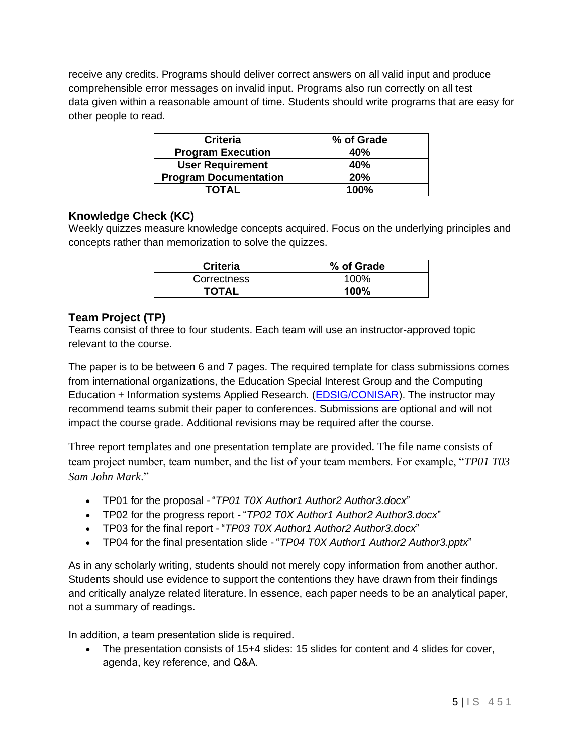receive any credits. Programs should deliver correct answers on all valid input and produce comprehensible error messages on invalid input. Programs also run correctly on all test data given within a reasonable amount of time. Students should write programs that are easy for other people to read.

| <b>Criteria</b>              | % of Grade |
|------------------------------|------------|
| <b>Program Execution</b>     | 40%        |
| <b>User Requirement</b>      | 40%        |
| <b>Program Documentation</b> | 20%        |
| <b>TOTAL</b>                 | 100%       |

#### **Knowledge Check (KC)**

Weekly quizzes measure knowledge concepts acquired. Focus on the underlying principles and concepts rather than memorization to solve the quizzes.

| <b>Criteria</b> | % of Grade |
|-----------------|------------|
| Correctness     | 100%       |
| <b>TOTAL</b>    | 100%       |

#### **Team Project (TP)**

Teams consist of three to four students. Each team will use an instructor-approved topic relevant to the course.

The paper is to be between 6 and 7 pages. The required template for class submissions comes from international organizations, the Education Special Interest Group and the Computing Education + Information systems Applied Research. [\(EDSIG/CONISAR\)](http://www.aitp-edsig.org/). The instructor may recommend teams submit their paper to conferences. Submissions are optional and will not impact the course grade. Additional revisions may be required after the course.

Three report templates and one presentation template are provided. The file name consists of team project number, team number, and the list of your team members. For example, "*TP01 T03 Sam John Mark*."

- TP01 for the proposal "*TP01 T0X Author1 Author2 Author3.docx*"
- TP02 for the progress report "*TP02 T0X Author1 Author2 Author3.docx*"
- TP03 for the final report "*TP03 T0X Author1 Author2 Author3.docx*"
- TP04 for the final presentation slide "*TP04 T0X Author1 Author2 Author3.pptx*"

As in any scholarly writing, students should not merely copy information from another author. Students should use evidence to support the contentions they have drawn from their findings and critically analyze related literature. In essence, each paper needs to be an analytical paper, not a summary of readings. 

In addition, a team presentation slide is required.  

• The presentation consists of 15+4 slides: 15 slides for content and 4 slides for cover, agenda, key reference, and Q&A.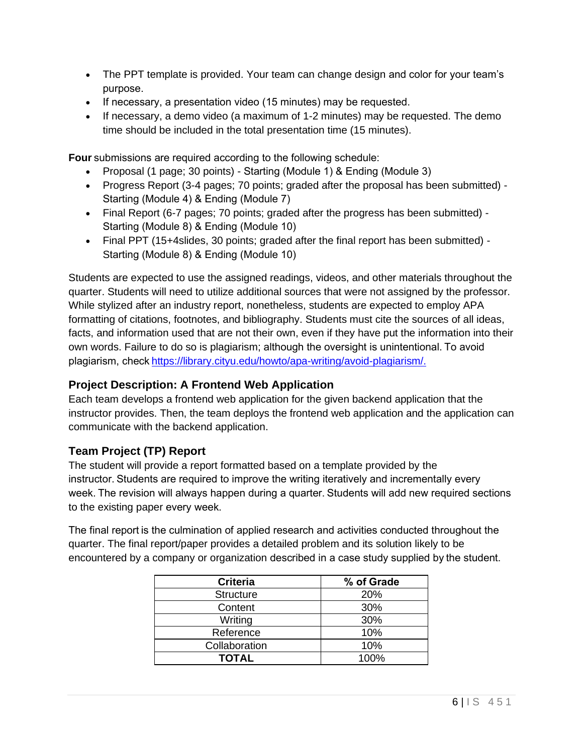- The PPT template is provided. Your team can change design and color for your team's purpose.
- If necessary, a presentation video (15 minutes) may be requested.
- If necessary, a demo video (a maximum of 1-2 minutes) may be requested. The demo time should be included in the total presentation time (15 minutes).

**Four** submissions are required according to the following schedule:

- Proposal (1 page; 30 points) Starting (Module 1) & Ending (Module 3)
- Progress Report (3-4 pages; 70 points; graded after the proposal has been submitted) Starting (Module 4) & Ending (Module 7)
- Final Report (6-7 pages; 70 points; graded after the progress has been submitted) Starting (Module 8) & Ending (Module 10)
- Final PPT (15+4slides, 30 points; graded after the final report has been submitted) Starting (Module 8) & Ending (Module 10)

Students are expected to use the assigned readings, videos, and other materials throughout the quarter. Students will need to utilize additional sources that were not assigned by the professor. While stylized after an industry report, nonetheless, students are expected to employ APA formatting of citations, footnotes, and bibliography. Students must cite the sources of all ideas, facts, and information used that are not their own, even if they have put the information into their own words. Failure to do so is plagiarism; although the oversight is unintentional. To avoid plagiarism, chec[k https://library.cityu.edu/howto/apa-writing/avoid-plagiarism/.](https://library.cityu.edu/howto/apa-writing/avoid-plagiarism/)

#### **Project Description: A Frontend Web Application**

Each team develops a frontend web application for the given backend application that the instructor provides. Then, the team deploys the frontend web application and the application can communicate with the backend application.

#### **Team Project (TP) Report**

The student will provide a report formatted based on a template provided by the instructor. Students are required to improve the writing iteratively and incrementally every week. The revision will always happen during a quarter. Students will add new required sections to the existing paper every week.  

The final report is the culmination of applied research and activities conducted throughout the quarter. The final report/paper provides a detailed problem and its solution likely to be encountered by a company or organization described in a case study supplied by the student.

| <b>Criteria</b>  | % of Grade |
|------------------|------------|
| <b>Structure</b> | 20%        |
| Content          | 30%        |
| Writing          | 30%        |
| Reference        | 10%        |
| Collaboration    | 10%        |
| <b>TOTAL</b>     | 100%       |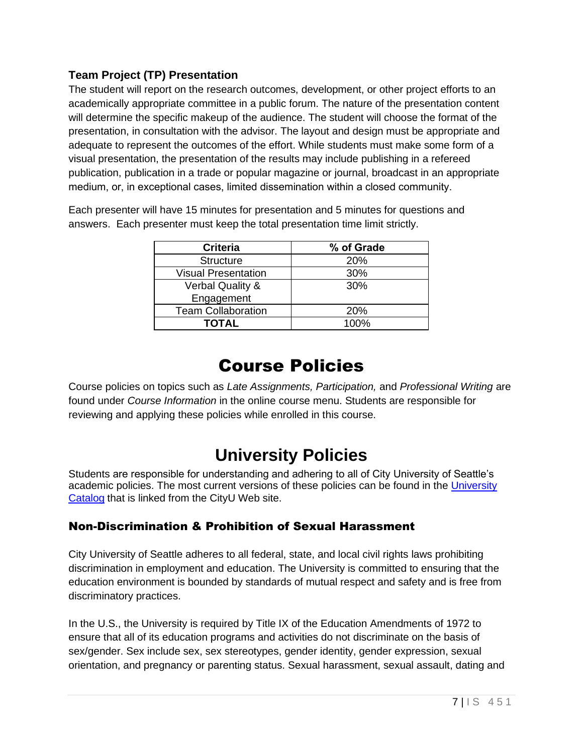### **Team Project (TP) Presentation**

The student will report on the research outcomes, development, or other project efforts to an academically appropriate committee in a public forum. The nature of the presentation content will determine the specific makeup of the audience. The student will choose the format of the presentation, in consultation with the advisor. The layout and design must be appropriate and adequate to represent the outcomes of the effort. While students must make some form of a visual presentation, the presentation of the results may include publishing in a refereed publication, publication in a trade or popular magazine or journal, broadcast in an appropriate medium, or, in exceptional cases, limited dissemination within a closed community. 

Each presenter will have 15 minutes for presentation and 5 minutes for questions and answers. Each presenter must keep the total presentation time limit strictly.

| <b>Criteria</b>             | % of Grade |
|-----------------------------|------------|
| <b>Structure</b>            | 20%        |
| <b>Visual Presentation</b>  | 30%        |
| <b>Verbal Quality &amp;</b> | 30%        |
| Engagement                  |            |
| <b>Team Collaboration</b>   | <b>20%</b> |
| <b>TOTAL</b>                | 100%       |

### Course Policies

Course policies on topics such as *Late Assignments, Participation,* and *Professional Writing* are found under *Course Information* in the online course menu. Students are responsible for reviewing and applying these policies while enrolled in this course.

## **University Policies**

Students are responsible for understanding and adhering to all of City University of Seattle's academic policies. The most current versions of these policies can be found in the University [Catalog](http://www.cityu.edu/catalog/) that is linked from the CityU Web site.

### Non-Discrimination & Prohibition of Sexual Harassment

City University of Seattle adheres to all federal, state, and local civil rights laws prohibiting discrimination in employment and education. The University is committed to ensuring that the education environment is bounded by standards of mutual respect and safety and is free from discriminatory practices.

In the U.S., the University is required by Title IX of the Education Amendments of 1972 to ensure that all of its education programs and activities do not discriminate on the basis of sex/gender. Sex include sex, sex stereotypes, gender identity, gender expression, sexual orientation, and pregnancy or parenting status. Sexual harassment, sexual assault, dating and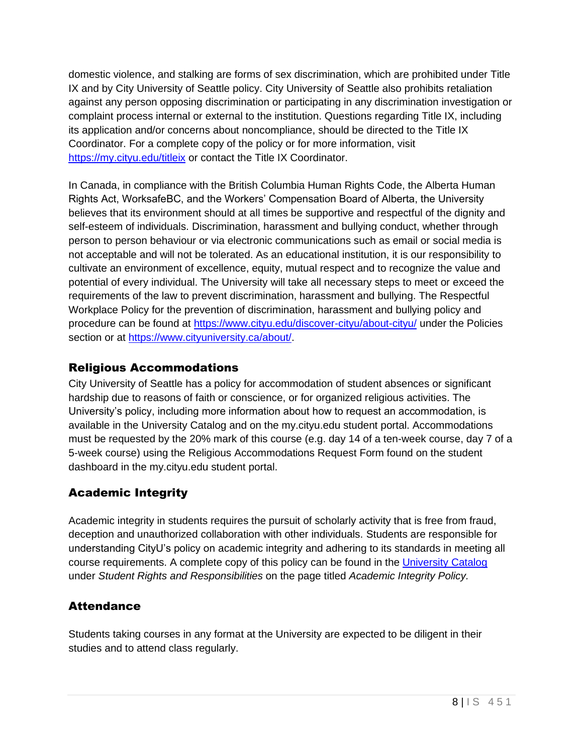domestic violence, and stalking are forms of sex discrimination, which are prohibited under Title IX and by City University of Seattle policy. City University of Seattle also prohibits retaliation against any person opposing discrimination or participating in any discrimination investigation or complaint process internal or external to the institution. Questions regarding Title IX, including its application and/or concerns about noncompliance, should be directed to the Title IX Coordinator. For a complete copy of the policy or for more information, visit <https://my.cityu.edu/titleix> or contact the Title IX Coordinator.

In Canada, in compliance with the British Columbia Human Rights Code, the Alberta Human Rights Act, WorksafeBC, and the Workers' Compensation Board of Alberta, the University believes that its environment should at all times be supportive and respectful of the dignity and self-esteem of individuals. Discrimination, harassment and bullying conduct, whether through person to person behaviour or via electronic communications such as email or social media is not acceptable and will not be tolerated. As an educational institution, it is our responsibility to cultivate an environment of excellence, equity, mutual respect and to recognize the value and potential of every individual. The University will take all necessary steps to meet or exceed the requirements of the law to prevent discrimination, harassment and bullying. The Respectful Workplace Policy for the prevention of discrimination, harassment and bullying policy and procedure can be found at<https://www.cityu.edu/discover-cityu/about-cityu/> under the Policies section or at [https://www.cityuniversity.ca/about/.](https://www.cityuniversity.ca/about/)

### Religious Accommodations

City University of Seattle has a policy for accommodation of student absences or significant hardship due to reasons of faith or conscience, or for organized religious activities. The University's policy, including more information about how to request an accommodation, is available in the University Catalog and on the my.cityu.edu student portal. Accommodations must be requested by the 20% mark of this course (e.g. day 14 of a ten-week course, day 7 of a 5-week course) using the Religious Accommodations Request Form found on the student dashboard in the my.cityu.edu student portal.

### Academic Integrity

Academic integrity in students requires the pursuit of scholarly activity that is free from fraud, deception and unauthorized collaboration with other individuals. Students are responsible for understanding CityU's policy on academic integrity and adhering to its standards in meeting all course requirements. A complete copy of this policy can be found in the [University Catalog](http://www.cityu.edu/catalog/) under *Student Rights and Responsibilities* on the page titled *Academic Integrity Policy.* 

### **Attendance**

Students taking courses in any format at the University are expected to be diligent in their studies and to attend class regularly.